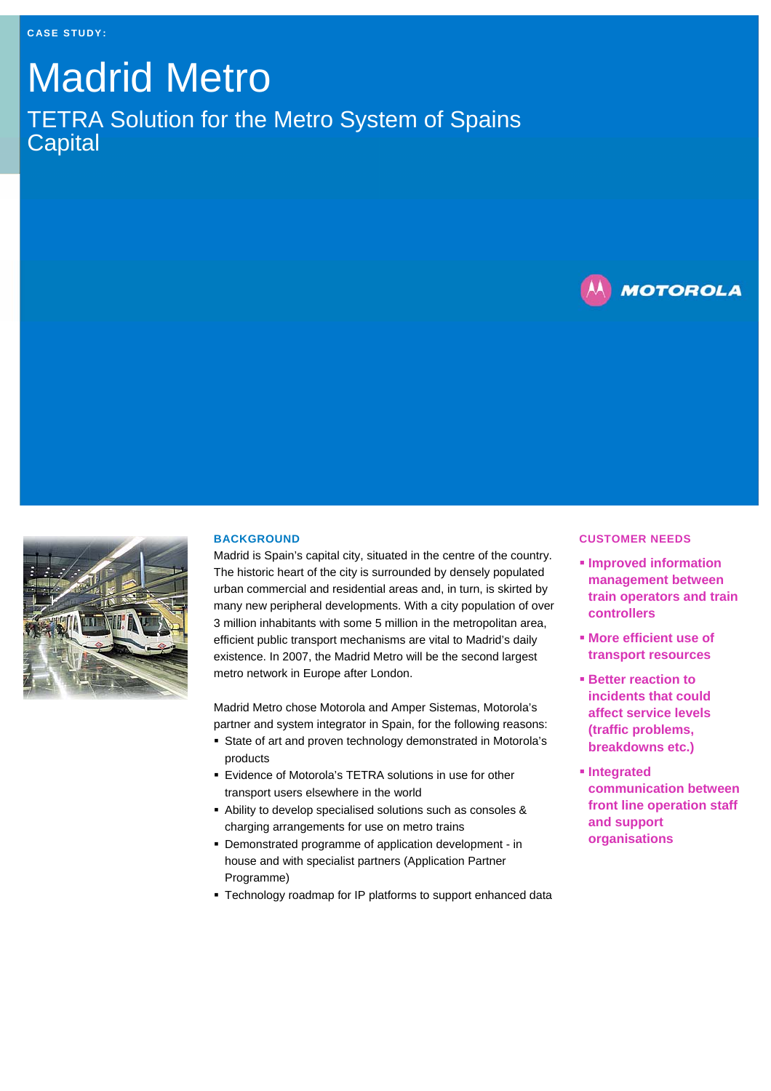# Madrid Metro TETRA Solution for the Metro System of Spains **Capital**





# **BACKGROUND**

Madrid is Spain's capital city, situated in the centre of the country. The historic heart of the city is surrounded by densely populated urban commercial and residential areas and, in turn, is skirted by many new peripheral developments. With a city population of over 3 million inhabitants with some 5 million in the metropolitan area, efficient public transport mechanisms are vital to Madrid's daily existence. In 2007, the Madrid Metro will be the second largest metro network in Europe after London.

Madrid Metro chose Motorola and Amper Sistemas, Motorola's partner and system integrator in Spain, for the following reasons:

- State of art and proven technology demonstrated in Motorola's products
- Evidence of Motorola's TETRA solutions in use for other transport users elsewhere in the world
- Ability to develop specialised solutions such as consoles & charging arrangements for use on metro trains
- Demonstrated programme of application development in house and with specialist partners (Application Partner Programme)
- Technology roadmap for IP platforms to support enhanced data

#### **CUSTOMER NEEDS**

- **Improved information management between train operators and train controllers**
- **More efficient use of transport resources**
- **Better reaction to incidents that could affect service levels (traffic problems, breakdowns etc.)**
- **Integrated communication between front line operation staff and support organisations**